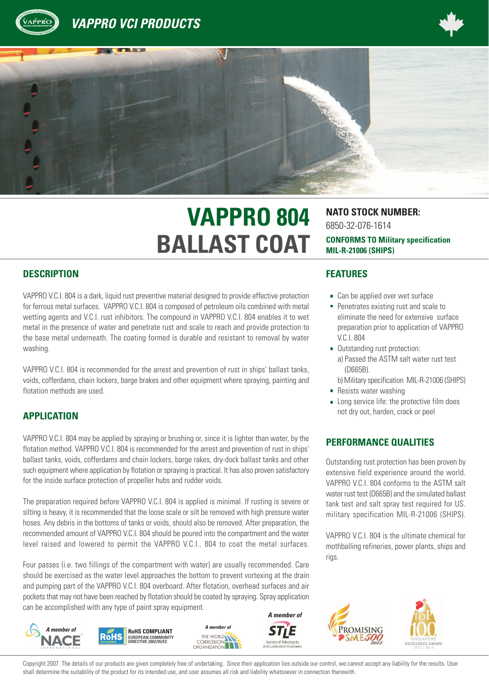





# **VAPPRO 804 NATO STOCK NUMBER: BALLAST COAT**

#### **DESCRIPTION FEATURES**

VAPPRO V.C.I. 804 is a dark, liquid rust preventive material designed to provide effective protection for ferrous metal surfaces. VAPPRO V.C.I. 804 is composed of petroleum oils combined with metal wetting agents and V.C.I. rust inhibitors. The compound in VAPPRO V.C.I. 804 enables it to wet metal in the presence of water and penetrate rust and scale to reach and provide protection to the base metal underneath. The coating formed is durable and resistant to removal by water washing.

VAPPRO V.C.I. 804 is recommended for the arrest and prevention of rust in ships' ballast tanks, voids, cofferdams, chain lockers, barge brakes and other equipment where spraying, painting and flotation methods are used.

## **APPLICATION**

VAPPRO V.C.I. 804 may be applied by spraying or brushing or, since it is lighter than water, by the flotation method. VAPPRO V.C.I. 804 is recommended for the arrest and prevention of rust in ships' ballast tanks, voids, cofferdams and chain lockers, barge rakes, dry-dock ballast tanks and other such equipment where application by flotation or spraying is practical. It has also proven satisfactory for the inside surface protection of propeller hubs and rudder voids.

The preparation required before VAPPRO V.C.I. 804 is applied is minimal. If rusting is severe or silting is heavy, it is recommended that the loose scale or silt be removed with high pressure water hoses. Any debris in the bottoms of tanks or voids, should also be removed. After preparation, the recommended amount of VAPPRO V.C.I. 804 should be poured into the compartment and the water level raised and lowered to permit the VAPPRO V.C.I.. 804 to coat the metal surfaces.

Four passes (i.e. two fillings of the compartment with water) are usually recommended. Care should be exercised as the water level approaches the bottom to prevent vortexing at the drain and pumping part of the VAPPRO V.C.I. 804 overboard. After flotation, overhead surfaces and air pockets that may not have been reached by flotation should be coated by spraying. Spray application can be accomplished with any type of paint spray equipment.



6850-32-076-1614 **CONFORMS TO Military specification MIL-R-21006 (SHIPS)**

- Can be applied over wet surface
- **Penetrates existing rust and scale to** eliminate the need for extensive surface preparation prior to application of VAPPRO V.C.I. 804
- Outstanding rust protection: a) Passed the ASTM salt water rust test (D665B).

b) Military specification MIL-R-21006 (SHIPS)

- **Resists water washing**
- **Long service life: the protective film does** not dry out, harden, crack or peel

#### **PERFORMANCE QUALITIES**

Outstanding rust protection has been proven by extensive field experience around the world. VAPPRO V.C.I. 804 conforms to the ASTM salt water rust test (D665B) and the simulated ballast tank test and salt spray test required for US. military specification MIL-R-21006 (SHIPS).

VAPPRO V.C.I. 804 is the ultimate chemical for mothballing refineries, power plants, ships and rigs.



Copyright 2007. The details of our products are given completely free of undertaking. Since their application lies outside our control, we cannot accept any liability for the results. User shall determine the suitability of the product for its intended use, and user assumes all risk and liability whatsoever in connection therewith.